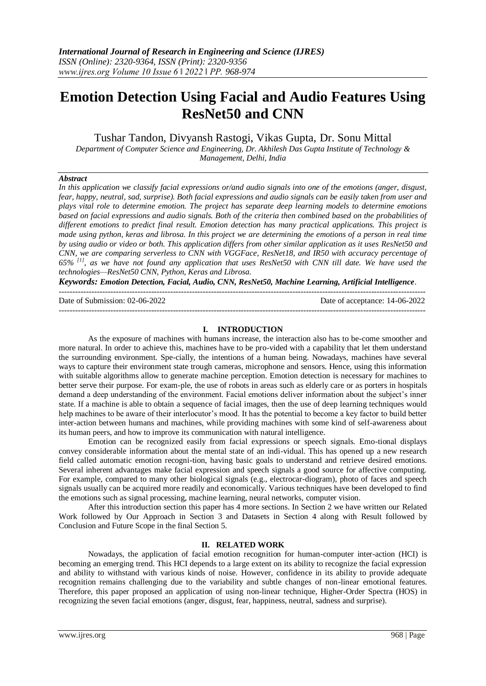# **Emotion Detection Using Facial and Audio Features Using ResNet50 and CNN**

Tushar Tandon, Divyansh Rastogi, Vikas Gupta, Dr. Sonu Mittal

*Department of Computer Science and Engineering, Dr. Akhilesh Das Gupta Institute of Technology & Management, Delhi, India*

## *Abstract*

*In this application we classify facial expressions or/and audio signals into one of the emotions (anger, disgust, fear, happy, neutral, sad, surprise). Both facial expressions and audio signals can be easily taken from user and plays vital role to determine emotion. The project has separate deep learning models to determine emotions based on facial expressions and audio signals. Both of the criteria then combined based on the probabilities of different emotions to predict final result. Emotion detection has many practical applications. This project is made using python, keras and librosa. In this project we are determining the emotions of a person in real time by using audio or video or both. This application differs from other similar application as it uses ResNet50 and CNN, we are comparing serverless to CNN with VGGFace, ResNet18, and IR50 with accuracy percentage of 65% [1], as we have not found any application that uses ResNet50 with CNN till date. We have used the technologies—ResNet50 CNN, Python, Keras and Librosa.*

*Keywords: Emotion Detection, Facial, Audio, CNN, ResNet50, Machine Learning, Artificial Intelligence.*

---------------------------------------------------------------------------------------------------------------------------------------

Date of Submission: 02-06-2022 Date of acceptance: 14-06-2022

---------------------------------------------------------------------------------------------------------------------------------------

#### **I. INTRODUCTION**

As the exposure of machines with humans increase, the interaction also has to be-come smoother and more natural. In order to achieve this, machines have to be pro-vided with a capability that let them understand the surrounding environment. Spe-cially, the intentions of a human being. Nowadays, machines have several ways to capture their environment state trough cameras, microphone and sensors. Hence, using this information with suitable algorithms allow to generate machine perception. Emotion detection is necessary for machines to better serve their purpose. For exam-ple, the use of robots in areas such as elderly care or as porters in hospitals demand a deep understanding of the environment. Facial emotions deliver information about the subject's inner state. If a machine is able to obtain a sequence of facial images, then the use of deep learning techniques would help machines to be aware of their interlocutor's mood. It has the potential to become a key factor to build better inter-action between humans and machines, while providing machines with some kind of self-awareness about its human peers, and how to improve its communication with natural intelligence.

Emotion can be recognized easily from facial expressions or speech signals. Emo-tional displays convey considerable information about the mental state of an indi-vidual. This has opened up a new research field called automatic emotion recogni-tion, having basic goals to understand and retrieve desired emotions. Several inherent advantages make facial expression and speech signals a good source for affective computing. For example, compared to many other biological signals (e.g., electrocar-diogram), photo of faces and speech signals usually can be acquired more readily and economically. Various techniques have been developed to find the emotions such as signal processing, machine learning, neural networks, computer vision.

After this introduction section this paper has 4 more sections. In Section 2 we have written our Related Work followed by Our Approach in Section 3 and Datasets in Section 4 along with Result followed by Conclusion and Future Scope in the final Section 5.

## **II. RELATED WORK**

Nowadays, the application of facial emotion recognition for human-computer inter-action (HCI) is becoming an emerging trend. This HCI depends to a large extent on its ability to recognize the facial expression and ability to withstand with various kinds of noise. However, confidence in its ability to provide adequate recognition remains challenging due to the variability and subtle changes of non-linear emotional features. Therefore, this paper proposed an application of using non-linear technique, Higher-Order Spectra (HOS) in recognizing the seven facial emotions (anger, disgust, fear, happiness, neutral, sadness and surprise).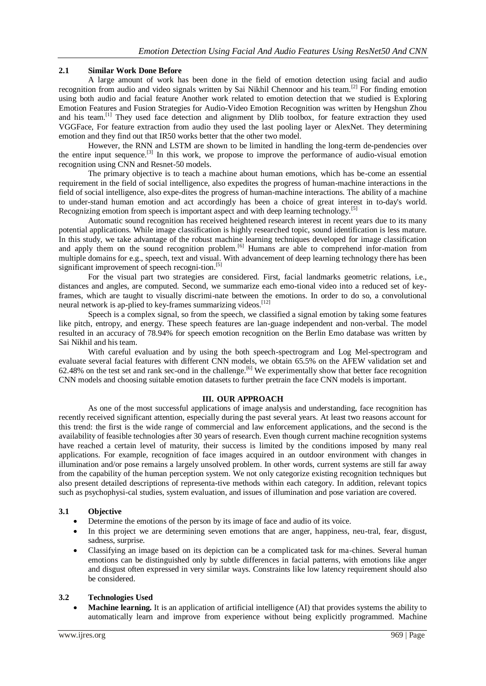# **2.1 Similar Work Done Before**

A large amount of work has been done in the field of emotion detection using facial and audio recognition from audio and video signals written by Sai Nikhil Chennoor and his team.<sup>[2]</sup> For finding emotion using both audio and facial feature Another work related to emotion detection that we studied is Exploring Emotion Features and Fusion Strategies for Audio-Video Emotion Recognition was written by Hengshun Zhou and his team.[1] They used face detection and alignment by Dlib toolbox, for feature extraction they used VGGFace, For feature extraction from audio they used the last pooling layer or AlexNet. They determining emotion and they find out that IR50 works better that the other two model.

However, the RNN and LSTM are shown to be limited in handling the long-term de-pendencies over the entire input sequence.[3] In this work, we propose to improve the performance of audio-visual emotion recognition using CNN and Resnet-50 models.

The primary objective is to teach a machine about human emotions, which has be-come an essential requirement in the field of social intelligence, also expedites the progress of human-machine interactions in the field of social intelligence, also expe-dites the progress of human-machine interactions. The ability of a machine to under-stand human emotion and act accordingly has been a choice of great interest in to-day's world. Recognizing emotion from speech is important aspect and with deep learning technology.<sup>[5]</sup>

Automatic sound recognition has received heightened research interest in recent years due to its many potential applications. While image classification is highly researched topic, sound identification is less mature. In this study, we take advantage of the robust machine learning techniques developed for image classification and apply them on the sound recognition problem.<sup>[6]</sup> Humans are able to comprehend infor-mation from multiple domains for e.g., speech, text and visual. With advancement of deep learning technology there has been significant improvement of speech recogni-tion.<sup>[5]</sup>

For the visual part two strategies are considered. First, facial landmarks geometric relations, i.e., distances and angles, are computed. Second, we summarize each emo-tional video into a reduced set of keyframes, which are taught to visually discrimi-nate between the emotions. In order to do so, a convolutional neural network is ap-plied to key-frames summarizing videos.<sup>[12]</sup>

Speech is a complex signal, so from the speech, we classified a signal emotion by taking some features like pitch, entropy, and energy. These speech features are lan-guage independent and non-verbal. The model resulted in an accuracy of 78.94% for speech emotion recognition on the Berlin Emo database was written by Sai Nikhil and his team.

With careful evaluation and by using the both speech-spectrogram and Log Mel-spectrogram and evaluate several facial features with different CNN models, we obtain 65.5% on the AFEW validation set and 62.48% on the test set and rank sec-ond in the challenge.[6] We experimentally show that better face recognition CNN models and choosing suitable emotion datasets to further pretrain the face CNN models is important.

## **III. OUR APPROACH**

As one of the most successful applications of image analysis and understanding, face recognition has recently received significant attention, especially during the past several years. At least two reasons account for this trend: the first is the wide range of commercial and law enforcement applications, and the second is the availability of feasible technologies after 30 years of research. Even though current machine recognition systems have reached a certain level of maturity, their success is limited by the conditions imposed by many real applications. For example, recognition of face images acquired in an outdoor environment with changes in illumination and/or pose remains a largely unsolved problem. In other words, current systems are still far away from the capability of the human perception system. We not only categorize existing recognition techniques but also present detailed descriptions of representa-tive methods within each category. In addition, relevant topics such as psychophysi-cal studies, system evaluation, and issues of illumination and pose variation are covered.

## **3.1 Objective**

- Determine the emotions of the person by its image of face and audio of its voice.
- In this project we are determining seven emotions that are anger, happiness, neu-tral, fear, disgust, sadness, surprise.
- Classifying an image based on its depiction can be a complicated task for ma-chines. Several human emotions can be distinguished only by subtle differences in facial patterns, with emotions like anger and disgust often expressed in very similar ways. Constraints like low latency requirement should also be considered.

## **3.2 Technologies Used**

 **Machine learning.** It is an application of artificial intelligence (AI) that provides systems the ability to automatically learn and improve from experience without being explicitly programmed. Machine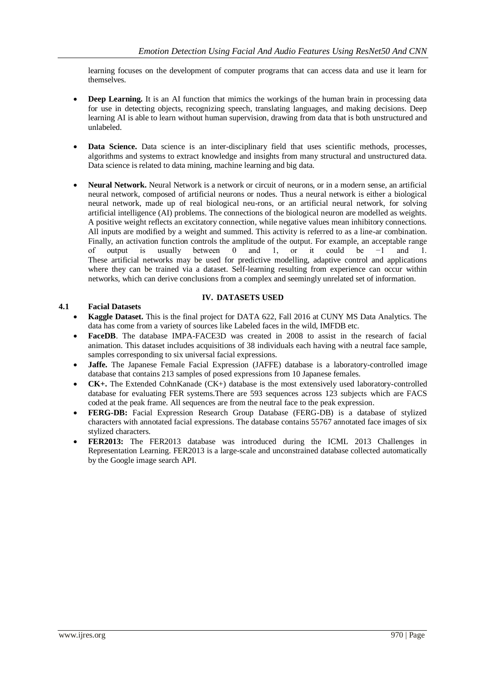learning focuses on the development of computer programs that can access data and use it learn for themselves.

- **Deep Learning.** It is an AI function that mimics the workings of the human brain in processing data for use in detecting objects, recognizing speech, translating languages, and making decisions. Deep learning AI is able to learn without human supervision, drawing from data that is both unstructured and unlabeled.
- **Data Science.** Data science is an inter-disciplinary field that uses scientific methods, processes, algorithms and systems to extract knowledge and insights from many structural and unstructured data. Data science is related to data mining, machine learning and big data.
- **Neural Network.** Neural Network is a network or circuit of neurons, or in a modern sense, an artificial neural network, composed of artificial neurons or nodes. Thus a neural network is either a biological neural network, made up of real biological neu-rons, or an artificial neural network, for solving artificial intelligence (AI) problems. The connections of the biological neuron are modelled as weights. A positive weight reflects an excitatory connection, while negative values mean inhibitory connections. All inputs are modified by a weight and summed. This activity is referred to as a line-ar combination. Finally, an activation function controls the amplitude of the output. For example, an acceptable range of output is usually between 0 and 1, or it could be −1 and 1. These artificial networks may be used for predictive modelling, adaptive control and applications where they can be trained via a dataset. Self-learning resulting from experience can occur within networks, which can derive conclusions from a complex and seemingly unrelated set of information.

# **IV. DATASETS USED**

# **4.1 Facial Datasets**

- **Kaggle Dataset.** This is the final project for DATA 622, Fall 2016 at CUNY MS Data Analytics. The data has come from a variety of sources like Labeled faces in the wild, IMFDB etc.
- **FaceDB**. The database IMPA-FACE3D was created in 2008 to assist in the research of facial animation. This dataset includes acquisitions of 38 individuals each having with a neutral face sample, samples corresponding to six universal facial expressions.
- **Jaffe.** The Japanese Female Facial Expression (JAFFE) database is a laboratory-controlled image database that contains 213 samples of posed expressions from 10 Japanese females.
- **CK+.** The Extended CohnKanade (CK+) database is the most extensively used laboratory-controlled database for evaluating FER systems.There are 593 sequences across 123 subjects which are FACS coded at the peak frame. All sequences are from the neutral face to the peak expression.
- **FERG-DB:** Facial Expression Research Group Database (FERG-DB) is a database of stylized characters with annotated facial expressions. The database contains 55767 annotated face images of six stylized characters.
- **FER2013:** The FER2013 database was introduced during the ICML 2013 Challenges in Representation Learning. FER2013 is a large-scale and unconstrained database collected automatically by the Google image search API.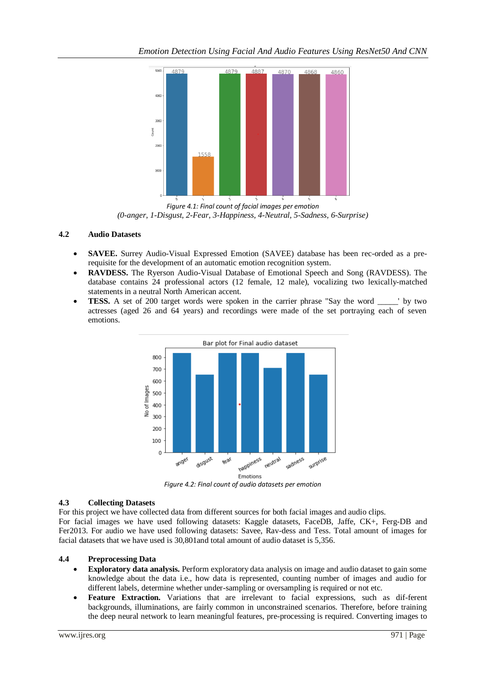

*Figure 4.1: Final count of facial images per emotion (0-anger, 1-Disgust, 2-Fear, 3-Happiness, 4-Neutral, 5-Sadness, 6-Surprise)*

# **4.2 Audio Datasets**

- **SAVEE.** Surrey Audio-Visual Expressed Emotion (SAVEE) database has been rec-orded as a prerequisite for the development of an automatic emotion recognition system.
- **RAVDESS.** The Ryerson Audio-Visual Database of Emotional Speech and Song (RAVDESS). The database contains 24 professional actors (12 female, 12 male), vocalizing two lexically-matched statements in a neutral North American accent.
- **TESS.** A set of 200 target words were spoken in the carrier phrase "Say the word \_\_\_\_\_' by two actresses (aged 26 and 64 years) and recordings were made of the set portraying each of seven emotions.



*Figure 4.2: Final count of audio datasets per emotion*

# **4.3 Collecting Datasets**

For this project we have collected data from different sources for both facial images and audio clips. For facial images we have used following datasets: Kaggle datasets, FaceDB, Jaffe, CK+, Ferg-DB and Fer2013. For audio we have used following datasets: Savee, Rav-dess and Tess. Total amount of images for facial datasets that we have used is 30,801and total amount of audio dataset is 5,356.

# **4.4 Preprocessing Data**

- **Exploratory data analysis.** Perform exploratory data analysis on image and audio dataset to gain some knowledge about the data i.e., how data is represented, counting number of images and audio for different labels, determine whether under-sampling or oversampling is required or not etc.
- **Feature Extraction.** Variations that are irrelevant to facial expressions, such as dif-ferent backgrounds, illuminations, are fairly common in unconstrained scenarios. Therefore, before training the deep neural network to learn meaningful features, pre-processing is required. Converting images to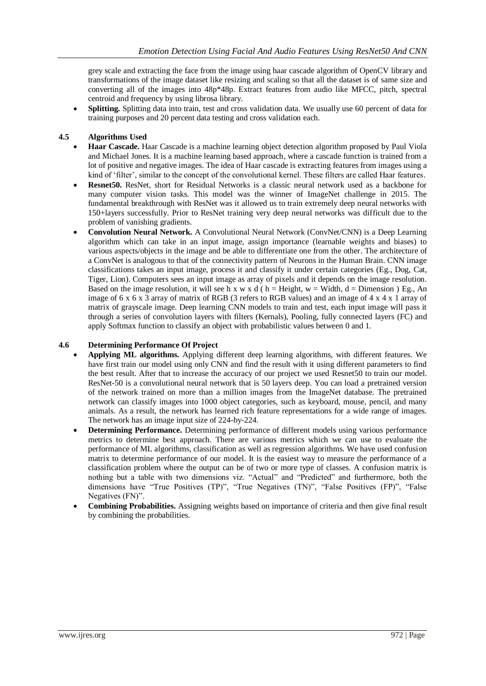grey scale and extracting the face from the image using haar cascade algorithm of OpenCV library and transformations of the image dataset like resizing and scaling so that all the dataset is of same size and converting all of the images into 48p\*48p. Extract features from audio like MFCC, pitch, spectral centroid and frequency by using librosa library.

 **Splitting.** Splitting data into train, test and cross validation data. We usually use 60 percent of data for training purposes and 20 percent data testing and cross validation each.

# **4.5 Algorithms Used**

- **Haar Cascade.** Haar Cascade is a machine learning object detection algorithm proposed by Paul Viola and Michael Jones. It is a machine learning based approach, where a cascade function is trained from a lot of positive and negative images. The idea of Haar cascade is extracting features from images using a kind of 'filter', similar to the concept of the convolutional kernel. These filters are called Haar features.
- **Resnet50.** ResNet, short for Residual Networks is a classic neural network used as a backbone for many computer vision tasks. This model was the winner of ImageNet challenge in 2015. The fundamental breakthrough with ResNet was it allowed us to train extremely deep neural networks with 150+layers successfully. Prior to ResNet training very deep neural networks was difficult due to the problem of vanishing gradients.
- **Convolution Neural Network.** A Convolutional Neural Network (ConvNet/CNN) is a Deep Learning algorithm which can take in an input image, assign importance (learnable weights and biases) to various aspects/objects in the image and be able to differentiate one from the other. The architecture of a ConvNet is analogous to that of the connectivity pattern of Neurons in the Human Brain. CNN image classifications takes an input image, process it and classify it under certain categories (Eg., Dog, Cat, Tiger, Lion). Computers sees an input image as array of pixels and it depends on the image resolution. Based on the image resolution, it will see h x w x d ( $h =$  Height,  $w =$  Width, d = Dimension ) Eg., An image of 6 x 6 x 3 array of matrix of RGB (3 refers to RGB values) and an image of 4 x 4 x 1 array of matrix of grayscale image. Deep learning CNN models to train and test, each input image will pass it through a series of convolution layers with filters (Kernals), Pooling, fully connected layers (FC) and apply Softmax function to classify an object with probabilistic values between 0 and 1.

## **4.6 Determining Performance Of Project**

- **Applying ML algorithms.** Applying different deep learning algorithms, with different features. We have first train our model using only CNN and find the result with it using different parameters to find the best result. After that to increase the accuracy of our project we used Resnet50 to train our model. ResNet-50 is a convolutional neural network that is 50 layers deep. You can load a pretrained version of the network trained on more than a million images from the ImageNet database. The pretrained network can classify images into 1000 object categories, such as keyboard, mouse, pencil, and many animals. As a result, the network has learned rich feature representations for a wide range of images. The network has an image input size of 224-by-224.
- **Determining Performance.** Determining performance of different models using various performance metrics to determine best approach. There are various metrics which we can use to evaluate the performance of ML algorithms, classification as well as regression algorithms. We have used confusion matrix to determine performance of our model. It is the easiest way to measure the performance of a classification problem where the output can be of two or more type of classes. A confusion matrix is nothing but a table with two dimensions viz. "Actual" and "Predicted" and furthermore, both the dimensions have "True Positives (TP)", "True Negatives (TN)", "False Positives (FP)", "False Negatives (FN)".
- **Combining Probabilities.** Assigning weights based on importance of criteria and then give final result by combining the probabilities.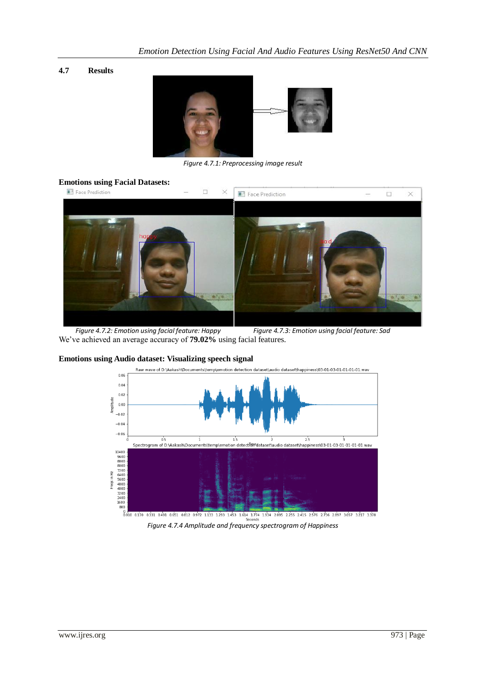## **4.7 Results**



*Figure 4.7.1: Preprocessing image result*

# **Emotions using Facial Datasets:**



 *Figure 4.7.2: Emotion using facial feature: Happy Figure 4.7.3: Emotion using facial feature: Sad* We've achieved an average accuracy of **79.02%** using facial features.



#### **Emotions using Audio dataset: Visualizing speech signal**

*Figure 4.7.4 Amplitude and frequency spectrogram of Happiness*